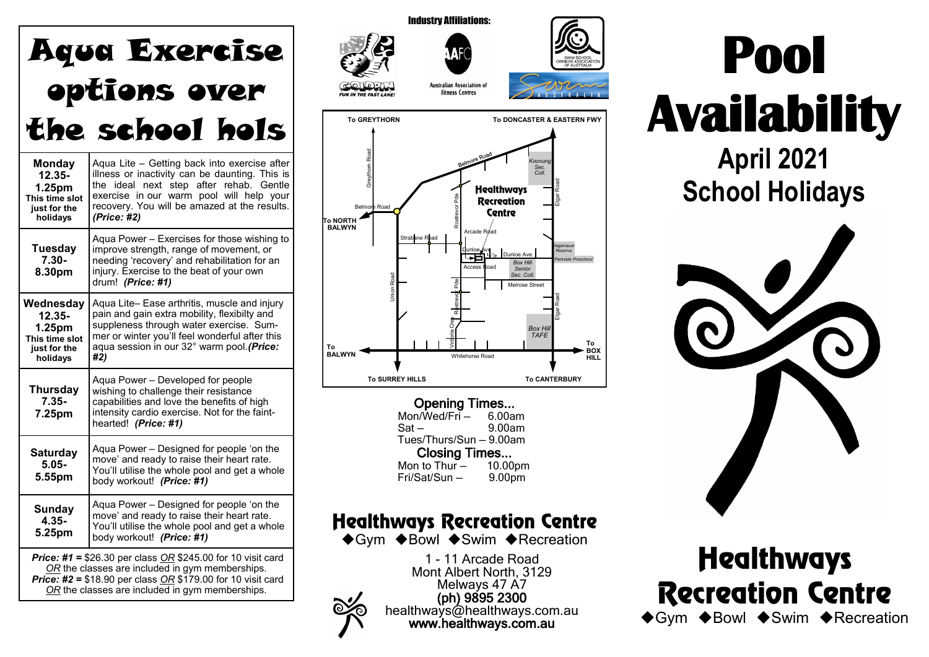| <b>Aqua Exercise</b>                                                                                                                                                                                                                           |                                                                                                                                                                                                                                                      |  |  |  |  |  |  |  |
|------------------------------------------------------------------------------------------------------------------------------------------------------------------------------------------------------------------------------------------------|------------------------------------------------------------------------------------------------------------------------------------------------------------------------------------------------------------------------------------------------------|--|--|--|--|--|--|--|
|                                                                                                                                                                                                                                                | options over                                                                                                                                                                                                                                         |  |  |  |  |  |  |  |
|                                                                                                                                                                                                                                                | the school hols                                                                                                                                                                                                                                      |  |  |  |  |  |  |  |
| <b>Monday</b><br>$12.35 -$<br>1.25pm<br>This time slot<br>just for the<br>holidays                                                                                                                                                             | Aqua Lite - Getting back into exercise after<br>illness or inactivity can be daunting. This is<br>the ideal next step after rehab. Gentle<br>exercise in our warm pool will help your<br>recovery. You will be amazed at the results.<br>(Price: #2) |  |  |  |  |  |  |  |
| <b>Tuesday</b><br>$7.30 -$<br>8.30pm                                                                                                                                                                                                           | Aqua Power - Exercises for those wishing to<br>improve strength, range of movement, or<br>needing 'recovery' and rehabilitation for an<br>injury. Exercise to the beat of your own<br>drum! (Price: #1)                                              |  |  |  |  |  |  |  |
| Wednesday<br>$12.35 -$<br>1.25pm<br>This time slot<br>just for the<br>holidays                                                                                                                                                                 | Aqua Lite- Ease arthritis, muscle and injury<br>pain and gain extra mobility, flexibilty and<br>suppleness through water exercise. Sum-<br>mer or winter you'll feel wonderful after this<br>aqua session in our 32° warm pool. (Price:<br>#2)       |  |  |  |  |  |  |  |
| <b>Thursday</b><br>$7.35 -$<br>7.25pm                                                                                                                                                                                                          | Aqua Power - Developed for people<br>wishing to challenge their resistance<br>capabilities and love the benefits of high<br>intensity cardio exercise. Not for the faint-<br>hearted! (Price: #1)                                                    |  |  |  |  |  |  |  |
| <b>Saturday</b><br>$5.05 -$<br>5.55pm                                                                                                                                                                                                          | Aqua Power - Designed for people 'on the<br>move' and ready to raise their heart rate.<br>You'll utilise the whole pool and get a whole<br>body workout! (Price: #1)                                                                                 |  |  |  |  |  |  |  |
| Sunday<br>$4.35 -$<br>5.25pm                                                                                                                                                                                                                   | Aqua Power - Designed for people 'on the<br>move' and ready to raise their heart rate.<br>You'll utilise the whole pool and get a whole<br>body workout! (Price: #1)                                                                                 |  |  |  |  |  |  |  |
| <b>Price: #1 = \$26.30 per class OR \$245.00 for 10 visit card</b><br>OR the classes are included in gym memberships.<br><b>Price: #2 = \$18.90 per class OR \$179.00 for 10 visit card</b><br>OR the classes are included in gym memberships. |                                                                                                                                                                                                                                                      |  |  |  |  |  |  |  |



**Opening Times...**<br>m/Wed/Fri – 6.00am  $Mon/Wed/Fri$  — Sat — 9.00am Tues/Thurs/Sun — 9.00am Closing Times... Mon to Thur - 10.00pm<br>Fri/Sat/Sun - 9.00pm  $Fri/Sat/Sun -$ 

**To SURREY HILLS To CANTERBURY**

## **Healthways Recreation Centre**

◆Gym ◆Bowl ◆Swim ◆Recreation

1 - 11 Arcade Road Mont Albert North, 3129 Melways 47 A7 (ph) 9895 2300 healthways@healthways.com.au www.healthways.com.au





**Healthways Recreation Centre** ◆Gym ◆Bowl ◆Swim ◆Recreation